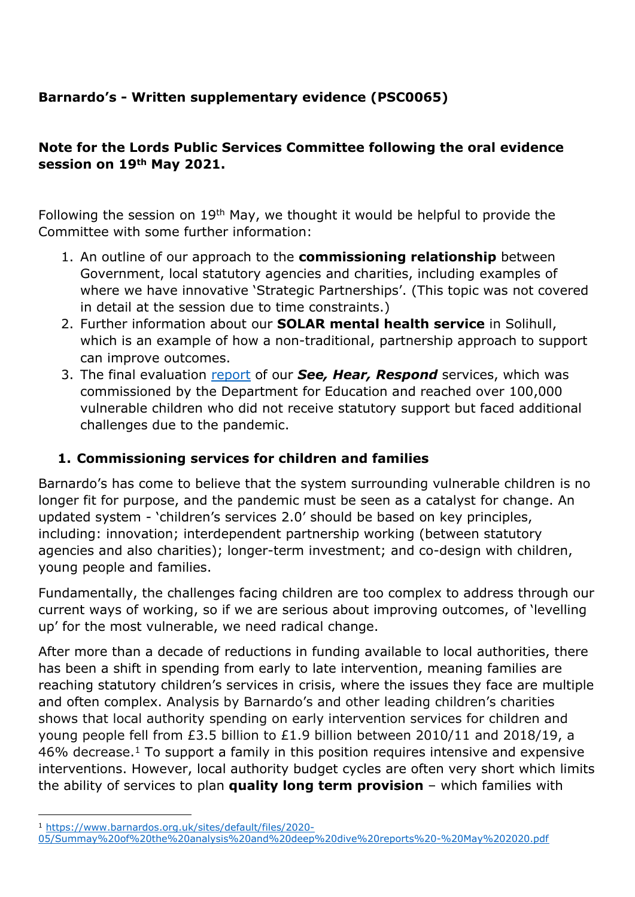# **Barnardo's - Written supplementary evidence (PSC0065)**

## **Note for the Lords Public Services Committee following the oral evidence session on 19th May 2021.**

Following the session on 19th May, we thought it would be helpful to provide the Committee with some further information:

- 1. An outline of our approach to the **commissioning relationship** between Government, local statutory agencies and charities, including examples of where we have innovative 'Strategic Partnerships'. (This topic was not covered in detail at the session due to time constraints.)
- 2. Further information about our **SOLAR mental health service** in Solihull, which is an example of how a non-traditional, partnership approach to support can improve outcomes.
- 3. The final evaluation [report](https://www.cordisbright.co.uk/news/post.php?s=barnardos-shr-briefs-supporting-children-during-the-pandemic) of our *See, Hear, Respond* services, which was commissioned by the Department for Education and reached over 100,000 vulnerable children who did not receive statutory support but faced additional challenges due to the pandemic.

# **1. Commissioning services for children and families**

Barnardo's has come to believe that the system surrounding vulnerable children is no longer fit for purpose, and the pandemic must be seen as a catalyst for change. An updated system - 'children's services 2.0' should be based on key principles, including: innovation; interdependent partnership working (between statutory agencies and also charities); longer-term investment; and co-design with children, young people and families.

Fundamentally, the challenges facing children are too complex to address through our current ways of working, so if we are serious about improving outcomes, of 'levelling up' for the most vulnerable, we need radical change.

After more than a decade of reductions in funding available to local authorities, there has been a shift in spending from early to late intervention, meaning families are reaching statutory children's services in crisis, where the issues they face are multiple and often complex. Analysis by Barnardo's and other leading children's charities shows that local authority spending on early intervention services for children and young people fell from £3.5 billion to £1.9 billion between 2010/11 and 2018/19, a  $46\%$  decrease.<sup>1</sup> To support a family in this position requires intensive and expensive interventions. However, local authority budget cycles are often very short which limits the ability of services to plan **quality long term provision** – which families with

<sup>1</sup> [https://www.barnardos.org.uk/sites/default/files/2020-](https://www.barnardos.org.uk/sites/default/files/2020-05/Summay%20of%20the%20analysis%20and%20deep%20dive%20reports%20-%20May%202020.pdf)

[<sup>05/</sup>Summay%20of%20the%20analysis%20and%20deep%20dive%20reports%20-%20May%202020.pdf](https://www.barnardos.org.uk/sites/default/files/2020-05/Summay%20of%20the%20analysis%20and%20deep%20dive%20reports%20-%20May%202020.pdf)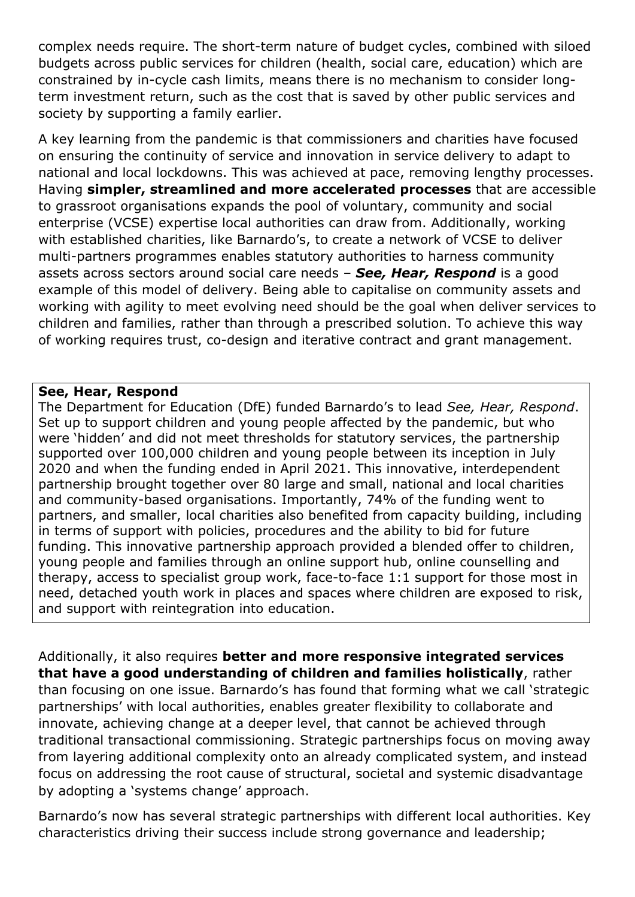complex needs require. The short-term nature of budget cycles, combined with siloed budgets across public services for children (health, social care, education) which are constrained by in-cycle cash limits, means there is no mechanism to consider longterm investment return, such as the cost that is saved by other public services and society by supporting a family earlier.

A key learning from the pandemic is that commissioners and charities have focused on ensuring the continuity of service and innovation in service delivery to adapt to national and local lockdowns. This was achieved at pace, removing lengthy processes. Having **simpler, streamlined and more accelerated processes** that are accessible to grassroot organisations expands the pool of voluntary, community and social enterprise (VCSE) expertise local authorities can draw from. Additionally, working with established charities, like Barnardo's, to create a network of VCSE to deliver multi-partners programmes enables statutory authorities to harness community assets across sectors around social care needs – *See, Hear, Respond* is a good example of this model of delivery. Being able to capitalise on community assets and working with agility to meet evolving need should be the goal when deliver services to children and families, rather than through a prescribed solution. To achieve this way of working requires trust, co-design and iterative contract and grant management.

#### **See, Hear, Respond**

The Department for Education (DfE) funded Barnardo's to lead *See, Hear, Respond*. Set up to support children and young people affected by the pandemic, but who were 'hidden' and did not meet thresholds for statutory services, the partnership supported over 100,000 children and young people between its inception in July 2020 and when the funding ended in April 2021. This innovative, interdependent partnership brought together over 80 large and small, national and local charities and community-based organisations. Importantly, 74% of the funding went to partners, and smaller, local charities also benefited from capacity building, including in terms of support with policies, procedures and the ability to bid for future funding. This innovative partnership approach provided a blended offer to children, young people and families through an online support hub, online counselling and therapy, access to specialist group work, face-to-face 1:1 support for those most in need, detached youth work in places and spaces where children are exposed to risk, and support with reintegration into education.

Additionally, it also requires **better and more responsive integrated services that have a good understanding of children and families holistically**, rather than focusing on one issue. Barnardo's has found that forming what we call 'strategic partnerships' with local authorities, enables greater flexibility to collaborate and innovate, achieving change at a deeper level, that cannot be achieved through traditional transactional commissioning. Strategic partnerships focus on moving away from layering additional complexity onto an already complicated system, and instead focus on addressing the root cause of structural, societal and systemic disadvantage by adopting a 'systems change' approach.

Barnardo's now has several strategic partnerships with different local authorities. Key characteristics driving their success include strong governance and leadership;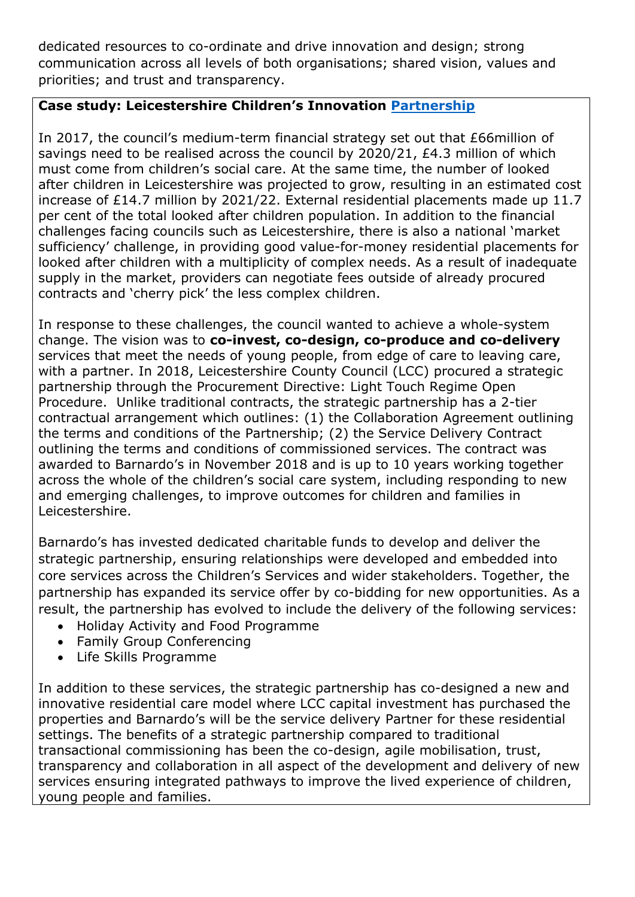dedicated resources to co-ordinate and drive innovation and design; strong communication across all levels of both organisations; shared vision, values and priorities; and trust and transparency.

## **Case study: Leicestershire Children's Innovation [Partnership](https://www.publicservicetransformation.org/wp-content/uploads/2019/08/Case-study-Leicestershires-Childrens-Innovaton-Partnership.pdf)**

In 2017, the council's medium-term financial strategy set out that £66million of savings need to be realised across the council by 2020/21, £4.3 million of which must come from children's social care. At the same time, the number of looked after children in Leicestershire was projected to grow, resulting in an estimated cost increase of £14.7 million by 2021/22. External residential placements made up 11.7 per cent of the total looked after children population. In addition to the financial challenges facing councils such as Leicestershire, there is also a national 'market sufficiency' challenge, in providing good value-for-money residential placements for looked after children with a multiplicity of complex needs. As a result of inadequate supply in the market, providers can negotiate fees outside of already procured contracts and 'cherry pick' the less complex children.

In response to these challenges, the council wanted to achieve a whole-system change. The vision was to **co-invest, co-design, co-produce and co-delivery** services that meet the needs of young people, from edge of care to leaving care, with a partner. In 2018, Leicestershire County Council (LCC) procured a strategic partnership through the Procurement Directive: Light Touch Regime Open Procedure. Unlike traditional contracts, the strategic partnership has a 2-tier contractual arrangement which outlines: (1) the Collaboration Agreement outlining the terms and conditions of the Partnership; (2) the Service Delivery Contract outlining the terms and conditions of commissioned services. The contract was awarded to Barnardo's in November 2018 and is up to 10 years working together across the whole of the children's social care system, including responding to new and emerging challenges, to improve outcomes for children and families in Leicestershire.

Barnardo's has invested dedicated charitable funds to develop and deliver the strategic partnership, ensuring relationships were developed and embedded into core services across the Children's Services and wider stakeholders. Together, the partnership has expanded its service offer by co-bidding for new opportunities. As a result, the partnership has evolved to include the delivery of the following services:

- Holiday Activity and Food Programme
- Family Group Conferencing
- Life Skills Programme

In addition to these services, the strategic partnership has co-designed a new and innovative residential care model where LCC capital investment has purchased the properties and Barnardo's will be the service delivery Partner for these residential settings. The benefits of a strategic partnership compared to traditional transactional commissioning has been the co-design, agile mobilisation, trust, transparency and collaboration in all aspect of the development and delivery of new services ensuring integrated pathways to improve the lived experience of children, young people and families.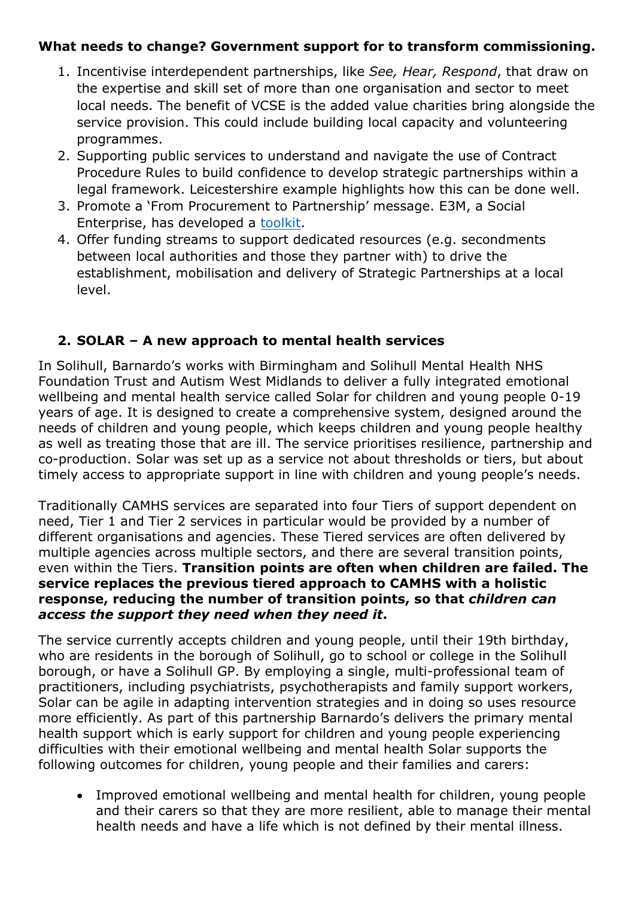#### **What needs to change? Government support for to transform commissioning.**

- 1. Incentivise interdependent partnerships, like *See, Hear, Respond*, that draw on the expertise and skill set of more than one organisation and sector to meet local needs. The benefit of VCSE is the added value charities bring alongside the service provision. This could include building local capacity and volunteering programmes.
- 2. Supporting public services to understand and navigate the use of Contract Procedure Rules to build confidence to develop strategic partnerships within a legal framework. Leicestershire example highlights how this can be done well.
- 3. Promote a 'From Procurement to Partnership' message. E3M, a Social Enterprise, has developed a [toolkit](https://e3m.org.uk/from-procurement-to-partnership-a-practical-toolkit-for-commissioners/).
- 4. Offer funding streams to support dedicated resources (e.g. secondments between local authorities and those they partner with) to drive the establishment, mobilisation and delivery of Strategic Partnerships at a local level.

## **2. SOLAR – A new approach to mental health services**

In Solihull, Barnardo's works with Birmingham and Solihull Mental Health NHS Foundation Trust and Autism West Midlands to deliver a fully integrated emotional wellbeing and mental health service called Solar for children and young people 0-19 years of age. It is designed to create a comprehensive system, designed around the needs of children and young people, which keeps children and young people healthy as well as treating those that are ill. The service prioritises resilience, partnership and co-production. Solar was set up as a service not about thresholds or tiers, but about timely access to appropriate support in line with children and young people's needs.

Traditionally CAMHS services are separated into four Tiers of support dependent on need, Tier 1 and Tier 2 services in particular would be provided by a number of different organisations and agencies. These Tiered services are often delivered by multiple agencies across multiple sectors, and there are several transition points, even within the Tiers. **Transition points are often when children are failed. The service replaces the previous tiered approach to CAMHS with a holistic response, reducing the number of transition points, so that** *children can access the support they need when they need it***.**

The service currently accepts children and young people, until their 19th birthday, who are residents in the borough of Solihull, go to school or college in the Solihull borough, or have a Solihull GP. By employing a single, multi-professional team of practitioners, including psychiatrists, psychotherapists and family support workers, Solar can be agile in adapting intervention strategies and in doing so uses resource more efficiently. As part of this partnership Barnardo's delivers the primary mental health support which is early support for children and young people experiencing difficulties with their emotional wellbeing and mental health Solar supports the following outcomes for children, young people and their families and carers:

 Improved emotional wellbeing and mental health for children, young people and their carers so that they are more resilient, able to manage their mental health needs and have a life which is not defined by their mental illness.